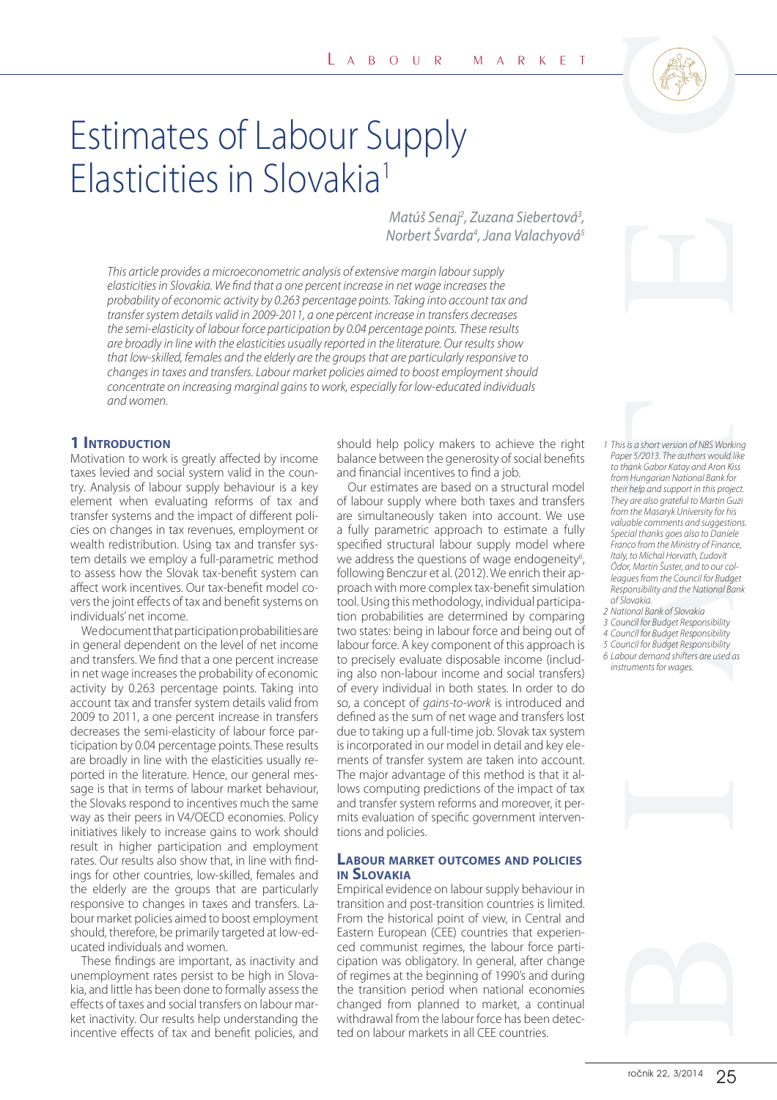

# Estimates of Labour Supply Elasticities in Slovakia<sup>1</sup>

Matúš Senaj<sup>2</sup>, Zuzana Siebertová<sup>3</sup>, Norbert Švarda<sup>4</sup>, Jana Valachyová<sup>s</sup>

This article provides a microeconometric analysis of extensive margin labour supply elasticities in Slovakia. We find that a one percent increase in net wage increases the probability of economic activity by 0.263 percentage points. Taking into account tax and transfer system details valid in 2009-2011, a one percent increase in transfers decreases the semi-elasticity of labour force participation by 0.04 percentage points. These results are broadly in line with the elasticities usually reported in the literature. Our results show that low-skilled, females and the elderly are the groups that are particularly responsive to changes in taxes and transfers. Labour market policies aimed to boost employment should concentrate on increasing marginal gains to work, especially for low-educated individuals and women.

### **1 INTRODUCTION**

Motivation to work is greatly affected by income taxes levied and social system valid in the country. Analysis of labour supply behaviour is a key element when evaluating reforms of tax and transfer systems and the impact of different policies on changes in tax revenues, employment or wealth redistribution. Using tax and transfer system details we employ a full-parametric method to assess how the Slovak tax-benefit system can affect work incentives. Our tax-benefit model covers the joint effects of tax and benefit systems on individuals' net income.

We document that participation probabilities are in general dependent on the level of net income and transfers. We find that a one percent increase in net wage increases the probability of economic activity by 0.263 percentage points. Taking into account tax and transfer system details valid from 2009 to 2011, a one percent increase in transfers decreases the semi-elasticity of labour force participation by 0.04 percentage points. These results are broadly in line with the elasticities usually reported in the literature. Hence, our general message is that in terms of labour market behaviour, the Slovaks respond to incentives much the same way as their peers in V4/OECD economies. Policy initiatives likely to increase gains to work should result in higher participation and employment rates. Our results also show that, in line with findings for other countries, low-skilled, females and the elderly are the groups that are particularly responsive to changes in taxes and transfers. Labour market policies aimed to boost employment should, therefore, be primarily targeted at low-educated individuals and women.

These findings are important, as inactivity and unemployment rates persist to be high in Slovakia, and little has been done to formally assess the effects of taxes and social transfers on labour market inactivity. Our results help understanding the incentive effects of tax and benefit policies, and

should help policy makers to achieve the right balance between the generosity of social benefits and financial incentives to find a job.

Our estimates are based on a structural model of labour supply where both taxes and transfers are simultaneously taken into account. We use a fully parametric approach to estimate a fully specified structural labour supply model where we address the questions of wage endogeneity<sup>6</sup>, following Benczur et al. (2012). We enrich their approach with more complex tax-benefit simulation tool. Using this methodology, individual participation probabilities are determined by comparing two states: being in labour force and being out of labour force. A key component of this approach is to precisely evaluate disposable income (including also non-labour income and social transfers) of every individual in both states. In order to do so, a concept of gains-to-work is introduced and defined as the sum of net wage and transfers lost due to taking up a full-time job. Slovak tax system is incorporated in our model in detail and key elements of transfer system are taken into account. The major advantage of this method is that it allows computing predictions of the impact of tax and transfer system reforms and moreover, it permits evaluation of specific government interventions and policies.

#### **LABOUR MARKET OUTCOMES AND POLICIES IN SLOVAKIA**

Empirical evidence on labour supply behaviour in transition and post-transition countries is limited. From the historical point of view, in Central and Eastern European (CEE) countries that experienced communist regimes, the labour force participation was obligatory. In general, after change of regimes at the beginning of 1990's and during the transition period when national economies changed from planned to market, a continual withdrawal from the labour force has been detected on labour markets in all CEE countries.

# rock 1988<br>
This is a short version of NBS Work<br>
Paper 5/2013. The authors would be that<br>
for this paper station of NBS Work<br>
that disabelic station and Son River Station and Son River<br>
They are also gradient in this projec 1 This is a short version of NBS Working Paper 5/2013. The authors would like to thank Gabor Katay and Aron Kiss from Hungarian National Bank for their help and support in this project. They are also grateful to Martin Guzi from the Masaryk University for his valuable comments and suggestions. Special thanks goes also to Daniele Franco from the Ministry of Finance, Italy, to Michal Horvath, ľudovít Ódor, Martin Šuster, and to our colleagues from the Council for Budget Responsibility and the National Bank of Slovakia.

- 2 National Bank of Slovakia
- 3 Council for Budget Responsibility
- 4 Council for Budget Responsibility
- 5 Council for Budget Responsibility 6 Labour demand shifters are used as instruments for wages.

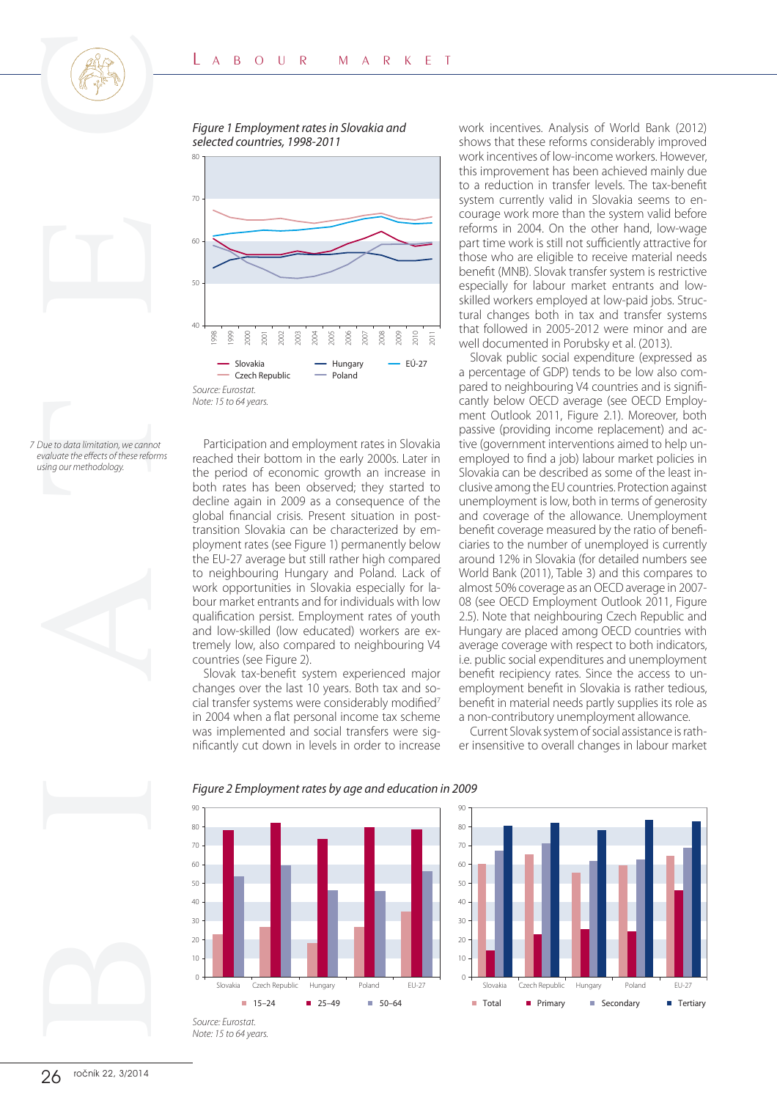Figure 1 Employment rates in Slovakia and selected countries, 1998-2011



7 Due to data limitation, we cannot evaluate the effects of these reforms using our methodology.

Participation and employment rates in Slovakia reached their bottom in the early 2000s. Later in the period of economic growth an increase in both rates has been observed; they started to decline again in 2009 as a consequence of the global financial crisis. Present situation in posttransition Slovakia can be characterized by employment rates (see Figure 1) permanently below the EU-27 average but still rather high compared to neighbouring Hungary and Poland. Lack of work opportunities in Slovakia especially for labour market entrants and for individuals with low qualification persist. Employment rates of youth and low-skilled (low educated) workers are extremely low, also compared to neighbouring V4 countries (see Figure 2).

Slovak tax-benefit system experienced major changes over the last 10 years. Both tax and social transfer systems were considerably modified<sup>7</sup> in 2004 when a flat personal income tax scheme was implemented and social transfers were significantly cut down in levels in order to increase work incentives. Analysis of World Bank (2012) shows that these reforms considerably improved work incentives of low-income workers. However, this improvement has been achieved mainly due to a reduction in transfer levels. The tax-benefit system currently valid in Slovakia seems to encourage work more than the system valid before reforms in 2004. On the other hand, low-wage part time work is still not sufficiently attractive for those who are eligible to receive material needs benefit (MNB). Slovak transfer system is restrictive especially for labour market entrants and lowskilled workers employed at low-paid jobs. Structural changes both in tax and transfer systems that followed in 2005-2012 were minor and are well documented in Porubsky et al. (2013).

Slovak public social expenditure (expressed as a percentage of GDP) tends to be low also compared to neighbouring V4 countries and is significantly below OECD average (see OECD Employment Outlook 2011, Figure 2.1). Moreover, both passive (providing income replacement) and active (government interventions aimed to help unemployed to find a job) labour market policies in Slovakia can be described as some of the least inclusive among the EU countries. Protection against unemployment is low, both in terms of generosity and coverage of the allowance. Unemployment benefit coverage measured by the ratio of beneficiaries to the number of unemployed is currently around 12% in Slovakia (for detailed numbers see World Bank (2011), Table 3) and this compares to almost 50% coverage as an OECD average in 2007- 08 (see OECD Employment Outlook 2011, Figure 2.5). Note that neighbouring Czech Republic and Hungary are placed among OECD countries with average coverage with respect to both indicators, i.e. public social expenditures and unemployment benefit recipiency rates. Since the access to unemployment benefit in Slovakia is rather tedious, benefit in material needs partly supplies its role as a non-contributory unemployment allowance.

Current Slovak system of social assistance is rather insensitive to overall changes in labour market



#### Figure 2 Employment rates by age and education in 2009

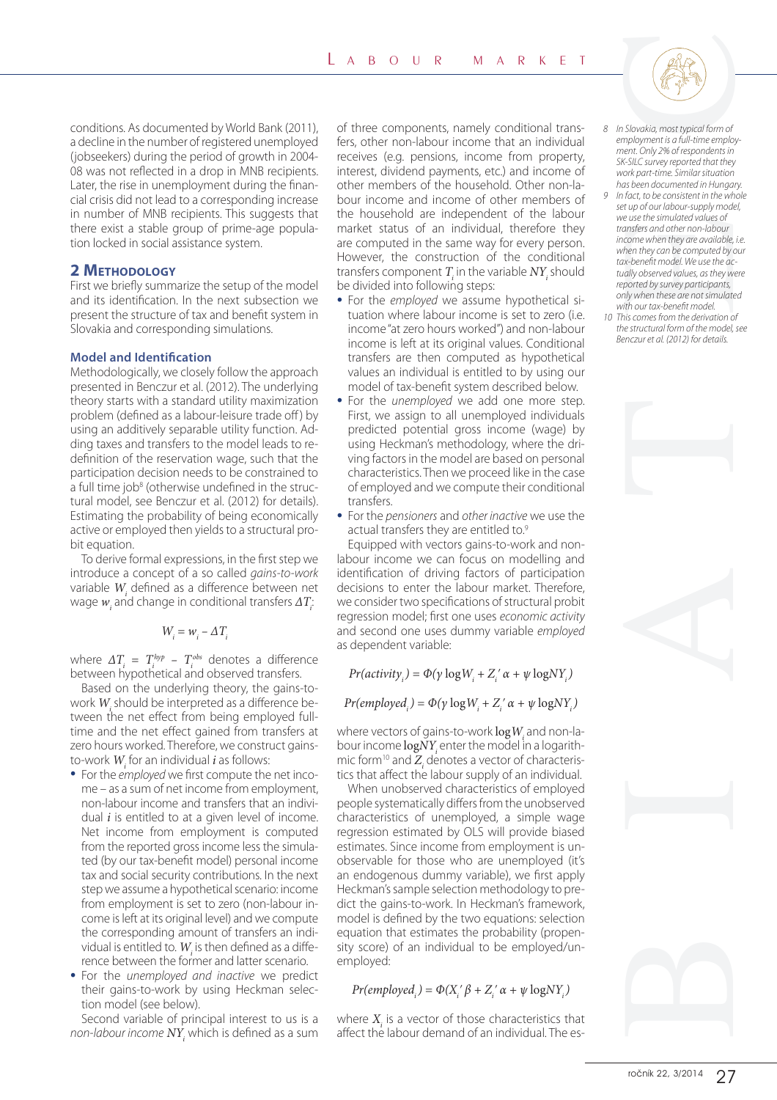conditions. As documented by World Bank (2011), a decline in the number of registered unemployed (jobseekers) during the period of growth in 2004- 08 was not reflected in a drop in MNB recipients. Later, the rise in unemployment during the financial crisis did not lead to a corresponding increase in number of MNB recipients. This suggests that there exist a stable group of prime-age population locked in social assistance system.

## **2 METHODOLOGY**

First we briefly summarize the setup of the model and its identification. In the next subsection we present the structure of tax and benefit system in Slovakia and corresponding simulations.

#### **Model and Identification**

Methodologically, we closely follow the approach presented in Benczur et al. (2012). The underlying theory starts with a standard utility maximization problem (defined as a labour-leisure trade off) by using an additively separable utility function. Adding taxes and transfers to the model leads to redefinition of the reservation wage, such that the participation decision needs to be constrained to a full time job<sup>8</sup> (otherwise undefined in the structural model, see Benczur et al. (2012) for details). Estimating the probability of being economically active or employed then yields to a structural probit equation.

To derive formal expressions, in the first step we introduce a concept of a so called gains-to-work variable  $W_i$  defined as a difference between net wage  $w_i$  and change in conditional transfers  $\varDelta T_i$ :

$$
W_i = w_i - \Delta T_i
$$

where  $\Delta T_i = T_i^{hyp} - T_i^{obs}$  denotes a difference between hypothetical and observed transfers.

Based on the underlying theory, the gains-towork  $W_i$  should be interpreted as a difference between the net effect from being employed fulltime and the net effect gained from transfers at zero hours worked. Therefore, we construct gainsto-work  $W_i$  for an individual  $i$  as follows:

- For the employed we first compute the net income – as a sum of net income from employment, non-labour income and transfers that an individual  $i$  is entitled to at a given level of income. Net income from employment is computed from the reported gross income less the simulated (by our tax-benefit model) personal income tax and social security contributions. In the next step we assume a hypothetical scenario: income from employment is set to zero (non-labour income is left at its original level) and we compute the corresponding amount of transfers an individual is entitled to.  $W_i$  is then defined as a difference between the former and latter scenario.
- For the unemployed and inactive we predict their gains-to-work by using Heckman selection model (see below).

Second variable of principal interest to us is a non-labour income  $N Y_i$  which is defined as a sum of three components, namely conditional transfers, other non-labour income that an individual receives (e.g. pensions, income from property, interest, dividend payments, etc.) and income of other members of the household. Other non-labour income and income of other members of the household are independent of the labour market status of an individual, therefore they are computed in the same way for every person. However, the construction of the conditional transfers component  $T_i$  in the variable  $NY_i$  should be divided into following steps:

- For the employed we assume hypothetical situation where labour income is set to zero (i.e. income "at zero hours worked") and non-labour income is left at its original values. Conditional transfers are then computed as hypothetical values an individual is entitled to by using our model of tax-benefit system described below.
- For the unemployed we add one more step. First, we assign to all unemployed individuals predicted potential gross income (wage) by using Heckman's methodology, where the driving factors in the model are based on personal characteristics. Then we proceed like in the case of employed and we compute their conditional transfers.
- For the pensioners and other inactive we use the actual transfers they are entitled to.<sup>9</sup>

Equipped with vectors gains-to-work and nonlabour income we can focus on modelling and identification of driving factors of participation decisions to enter the labour market. Therefore, we consider two specifications of structural probit regression model; first one uses economic activity and second one uses dummy variable employed as dependent variable:

 $Pr(\text{activity}_i) = \Phi(\gamma \log W_i + Z_i' \alpha + \psi \log N Y_i)$ 

 $Pr(emploved_i) = \Phi(\gamma \log W_i + Z_i' \alpha + \psi \log NY_i)$ 

where vectors of gains-to-work  $\log W_i$  and non-la-<br>bour income  $\log XY$  enter the model in a logarithbour income  $\log \frac{N}{N}$  enter the model in a logarith-<br>mic form<sup>10</sup> and Z, denotes a vector of characterismic form<sup>10</sup> and  $Z_i$  denotes a vector of characteristics that affect the labour supply of an individual.

When unobserved characteristics of employed people systematically differs from the unobserved characteristics of unemployed, a simple wage regression estimated by OLS will provide biased estimates. Since income from employment is unobservable for those who are unemployed (it's an endogenous dummy variable), we first apply Heckman's sample selection methodology to predict the gains-to-work. In Heckman's framework, model is defined by the two equations: selection equation that estimates the probability (propensity score) of an individual to be employed/unemployed:

$$
Pr(employed_{_{i}}) = \Phi(X_{_{i}}{'}\beta+Z_{_{i}}{'}\alpha+\psi\log \!N Y_{_{i}})
$$

where  $X_i$  is a vector of those characteristics that affect the labour demand of an individual. The es-

- 8 In Slovakia, most typical form of employment is a full-time employment. Only 2% of respondents in SK-SILC survey reported that they work part-time. Similar situation has been documented in Hungary.
- 9 In fact, to be consistent in the whole set up of our labour-supply model, we use the simulated values of transfers and other non-labour income when they are available, i.e. when they can be computed by our tax-benefit model. We use the actually observed values, as they were reported by survey participants, only when these are not simulated with our tax-benefit model
- 10 This comes from the derivation of the structural form of the model, see Benczur et al. (2012) for details.

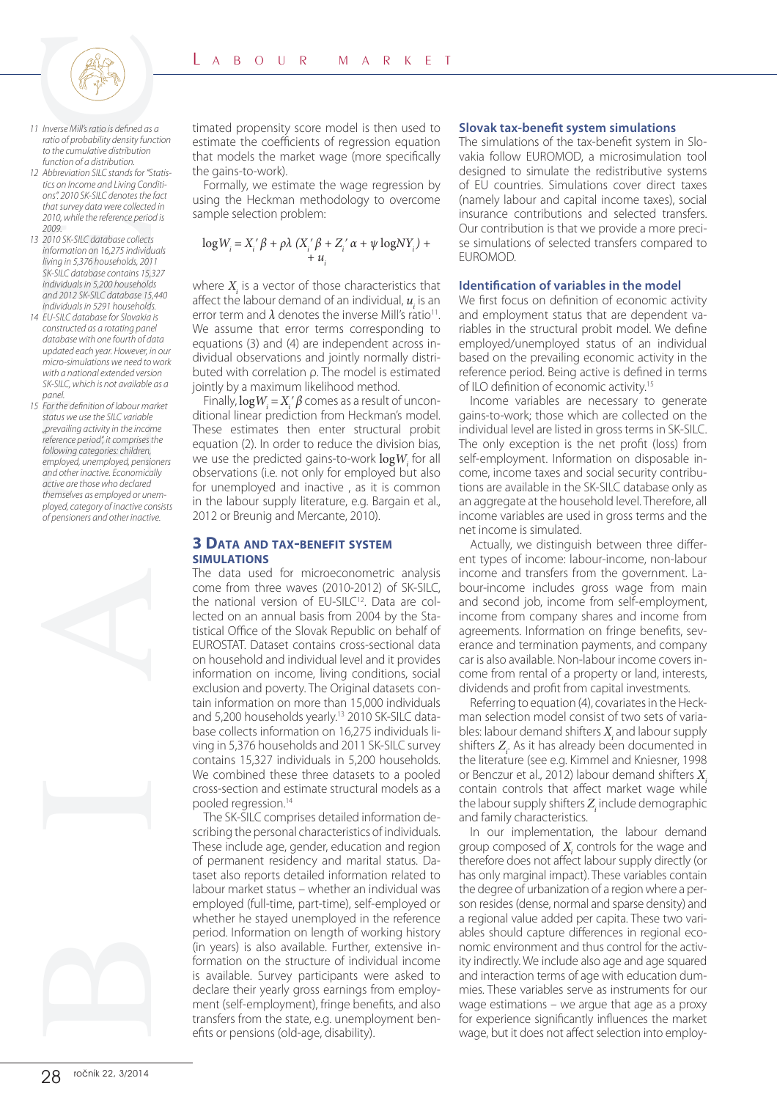

- 11 Inverse Mill's ratio is defined as a ratio of probability density function to the cumulative distribution function of a distribution.
- 12 Abbreviation SILC stands for "Statistics on Income and Living Conditions". 2010 SK-SILC denotes the fact that survey data were collected in 2010, while the reference period is 2009.
- 13 2010 SK-SILC database collects information on 16,275 individuals living in 5,376 households, 2011 SK-SILC database contains 15,327 individuals in 5,200 households and 2012 SK-SILC database 15,440 individuals in 5291 households.
- 14 EU-SILC database for Slovakia is constructed as a rotating panel database with one fourth of data updated each year. However, in our micro-simulations we need to work with a national extended version SK-SILC, which is not available as a panel.
- 15 For the definition of labour market status we use the SILC variable "prevailing activity in the income reference period" it comprises the following categories: children, employed, unemployed, pensioners and other inactive. Economically active are those who declared themselves as employed or unemployed, category of inactive consists of pensioners and other inactive.



timated propensity score model is then used to estimate the coefficients of regression equation that models the market wage (more specifically the gains-to-work).

Formally, we estimate the wage regression by using the Heckman methodology to overcome sample selection problem:

$$
log W_i = X_i' \beta + \rho \lambda (X_i' \beta + Z_i' \alpha + \psi log NY_i) +
$$
  
+ 
$$
u_i
$$

where  $X_i$  is a vector of those characteristics that affect the labour demand of an individual,  $u_i$  is an error term and  $\lambda$  denotes the inverse Mill's ratio<sup>11</sup>. We assume that error terms corresponding to equations (3) and (4) are independent across individual observations and jointly normally distributed with correlation ρ. The model is estimated jointly by a maximum likelihood method.

Finally,  $log W_i = X_i' \beta$  comes as a result of uncon-<br>Fional linear prediction from Heckman's model ditional linear prediction from Heckman's model. These estimates then enter structural probit equation (2). In order to reduce the division bias, we use the predicted gains-to-work  $log W_i$  for all observations (i.e. not only for employed but also observations (i.e. not only for employed but also for unemployed and inactive , as it is common in the labour supply literature, e.g. Bargain et al., 2012 or Breunig and Mercante, 2010).

#### **3 DATA AND TAX-BENEFIT SYSTEM SIMULATIONS**

The data used for microeconometric analysis come from three waves (2010-2012) of SK-SILC, the national version of EU-SILC<sup>12</sup>. Data are collected on an annual basis from 2004 by the Statistical Office of the Slovak Republic on behalf of EUROSTAT. Dataset contains cross-sectional data on household and individual level and it provides information on income, living conditions, social exclusion and poverty. The Original datasets contain information on more than 15,000 individuals and 5,200 households yearly.13 2010 SK-SILC database collects information on 16,275 individuals living in 5,376 households and 2011 SK-SILC survey contains 15,327 individuals in 5,200 households. We combined these three datasets to a pooled cross-section and estimate structural models as a pooled regression.14

The SK-SILC comprises detailed information describing the personal characteristics of individuals. These include age, gender, education and region of permanent residency and marital status. Dataset also reports detailed information related to labour market status – whether an individual was employed (full-time, part-time), self-employed or whether he stayed unemployed in the reference period. Information on length of working history (in years) is also available. Further, extensive information on the structure of individual income is available. Survey participants were asked to declare their yearly gross earnings from employment (self-employment), fringe benefits, and also transfers from the state, e.g. unemployment benefits or pensions (old-age, disability).

#### **Slovak tax-benefit system simulations**

The simulations of the tax-benefit system in Slovakia follow EUROMOD, a microsimulation tool designed to simulate the redistributive systems of EU countries. Simulations cover direct taxes (namely labour and capital income taxes), social insurance contributions and selected transfers. Our contribution is that we provide a more precise simulations of selected transfers compared to EUROMOD.

#### **Identification of variables in the model**

We first focus on definition of economic activity and employment status that are dependent variables in the structural probit model. We define employed/unemployed status of an individual based on the prevailing economic activity in the reference period. Being active is defined in terms of ILO definition of economic activity.15

Income variables are necessary to generate gains-to-work; those which are collected on the individual level are listed in gross terms in SK-SILC. The only exception is the net profit (loss) from self-employment. Information on disposable income, income taxes and social security contributions are available in the SK-SILC database only as an aggregate at the household level. Therefore, all income variables are used in gross terms and the net income is simulated.

Actually, we distinguish between three different types of income: labour-income, non-labour income and transfers from the government. Labour-income includes gross wage from main and second job, income from self-employment, income from company shares and income from agreements. Information on fringe benefits, severance and termination payments, and company car is also available. Non-labour income covers income from rental of a property or land, interests, dividends and profit from capital investments.

Referring to equation (4), covariates in the Heckman selection model consist of two sets of variables: labour demand shifters  $X_i$  and labour supply shifters  $Z_i$ . As it has already been documented in the literature (see e.g. Kimmel and Kniesner, 1998 or Benczur et al., 2012) labour demand shifters  $X_i$ contain controls that affect market wage while the labour supply shifters  $Z_i$  include demographic and family characteristics.

In our implementation, the labour demand group composed of  $X_i$  controls for the wage and therefore does not affect labour supply directly (or has only marginal impact). These variables contain the degree of urbanization of a region where a person resides (dense, normal and sparse density) and a regional value added per capita. These two variables should capture differences in regional economic environment and thus control for the activity indirectly. We include also age and age squared and interaction terms of age with education dummies. These variables serve as instruments for our wage estimations – we argue that age as a proxy for experience significantly influences the market wage, but it does not affect selection into employ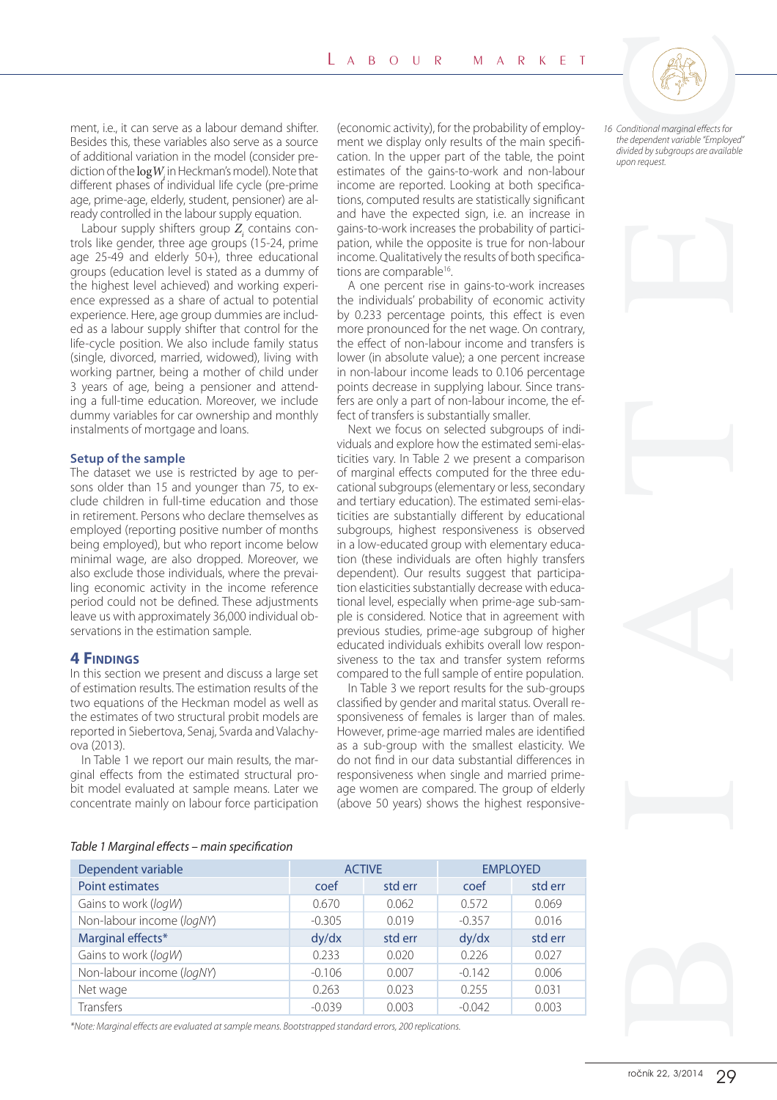ment, i.e., it can serve as a labour demand shifter. Besides this, these variables also serve as a source of additional variation in the model (consider prediction of the  $\log W_i$  in Heckman's model). Note that<br>different phases of individual life cycle (pre-prime) different phases of individual life cycle (pre-prime age, prime-age, elderly, student, pensioner) are already controlled in the labour supply equation.

Labour supply shifters group  $Z_i$  contains controls like gender, three age groups (15-24, prime age 25-49 and elderly 50+), three educational groups (education level is stated as a dummy of the highest level achieved) and working experience expressed as a share of actual to potential experience. Here, age group dummies are included as a labour supply shifter that control for the life-cycle position. We also include family status (single, divorced, married, widowed), living with working partner, being a mother of child under 3 years of age, being a pensioner and attending a full-time education. Moreover, we include dummy variables for car ownership and monthly instalments of mortgage and loans.

#### **Setup of the sample**

The dataset we use is restricted by age to persons older than 15 and younger than 75, to exclude children in full-time education and those in retirement. Persons who declare themselves as employed (reporting positive number of months being employed), but who report income below minimal wage, are also dropped. Moreover, we also exclude those individuals, where the prevailing economic activity in the income reference period could not be defined. These adjustments leave us with approximately 36,000 individual observations in the estimation sample.

#### **4 FINDINGS**

In this section we present and discuss a large set of estimation results. The estimation results of the two equations of the Heckman model as well as the estimates of two structural probit models are reported in Siebertova, Senaj, Svarda and Valachyova (2013).

In Table 1 we report our main results, the marginal effects from the estimated structural probit model evaluated at sample means. Later we concentrate mainly on labour force participation (economic activity), for the probability of employment we display only results of the main specification. In the upper part of the table, the point estimates of the gains-to-work and non-labour income are reported. Looking at both specifications, computed results are statistically significant and have the expected sign, i.e. an increase in gains-to-work increases the probability of participation, while the opposite is true for non-labour income. Qualitatively the results of both specifications are comparable<sup>16</sup>.

A one percent rise in gains-to-work increases the individuals' probability of economic activity by 0.233 percentage points, this effect is even more pronounced for the net wage. On contrary, the effect of non-labour income and transfers is lower (in absolute value); a one percent increase in non-labour income leads to 0.106 percentage points decrease in supplying labour. Since transfers are only a part of non-labour income, the effect of transfers is substantially smaller.

Next we focus on selected subgroups of individuals and explore how the estimated semi-elasticities vary. In Table 2 we present a comparison of marginal effects computed for the three educational subgroups (elementary or less, secondary and tertiary education). The estimated semi-elasticities are substantially different by educational subgroups, highest responsiveness is observed in a low-educated group with elementary education (these individuals are often highly transfers dependent). Our results suggest that participation elasticities substantially decrease with educational level, especially when prime-age sub-sample is considered. Notice that in agreement with previous studies, prime-age subgroup of higher educated individuals exhibits overall low responsiveness to the tax and transfer system reforms compared to the full sample of entire population.

In Table 3 we report results for the sub-groups classified by gender and marital status. Overall responsiveness of females is larger than of males. However, prime-age married males are identified as a sub-group with the smallest elasticity. We do not find in our data substantial differences in responsiveness when single and married primeage women are compared. The group of elderly (above 50 years) shows the highest responsive16 Conditional marginal effects for the dependent variable "Employed" divided by subgroups are available upon request.





Table 1 Marginal effects – main specification

| Dependent variable        | <b>ACTIVE</b> |         | <b>EMPLOYED</b> |         |  |  |  |  |
|---------------------------|---------------|---------|-----------------|---------|--|--|--|--|
| Point estimates           | coef          | std err | coef            | std err |  |  |  |  |
| Gains to work (logW)      | 0.670         | 0.062   | 0.572           | 0.069   |  |  |  |  |
| Non-labour income (logNY) | $-0.305$      | 0.019   | $-0.357$        | 0.016   |  |  |  |  |
| Marginal effects*         | dy/dx         | std err | dy/dx           | std err |  |  |  |  |
| Gains to work (logW)      | 0.233         | 0.020   | 0.226           | 0.027   |  |  |  |  |
| Non-labour income (logNY) | $-0.106$      | 0.007   | $-0.142$        | 0.006   |  |  |  |  |
| Net wage                  | 0.263         | 0.023   | 0.255           | 0.031   |  |  |  |  |
| Transfers                 | $-0.039$      | 0.003   | $-0.042$        | 0.003   |  |  |  |  |

\*Note: Marginal effects are evaluated at sample means. Bootstrapped standard errors, 200 replications.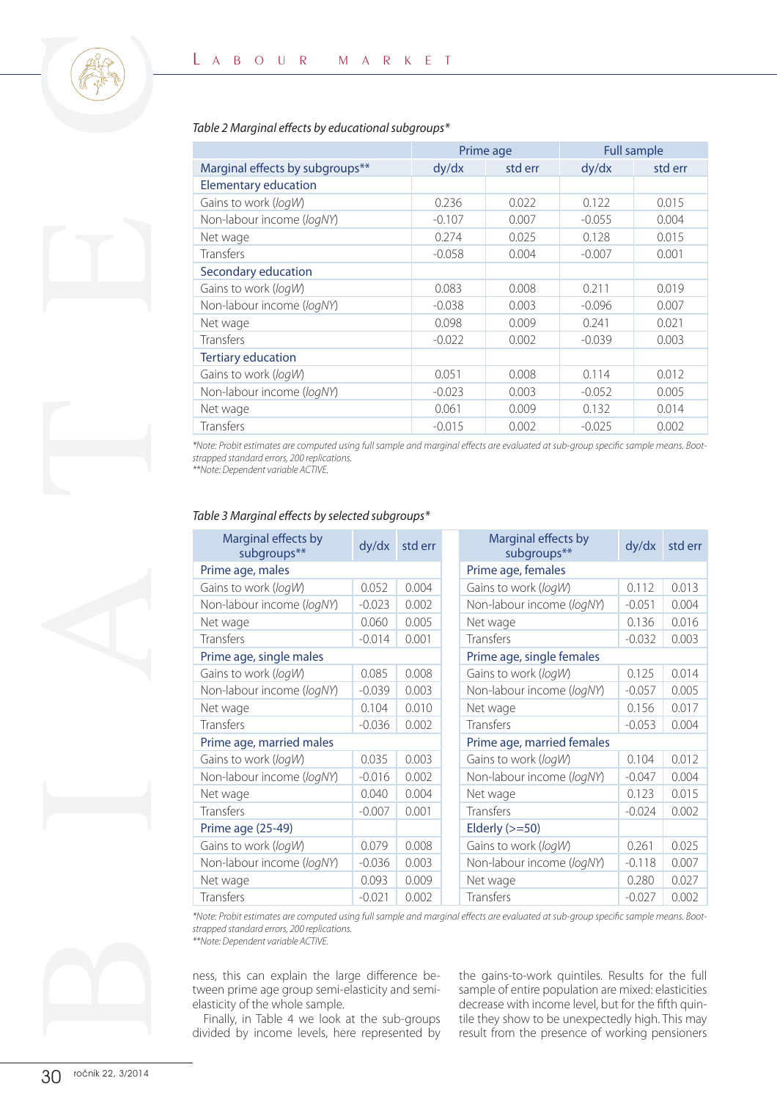#### Table 2 Marginal effects by educational subgroups\*

|                                 | Prime age |         | <b>Full sample</b> |         |
|---------------------------------|-----------|---------|--------------------|---------|
| Marginal effects by subgroups** | dy/dx     | std err | dy/dx              | std err |
| <b>Elementary education</b>     |           |         |                    |         |
| Gains to work (logW)            | 0.236     | 0.022   | 0.122              | 0.015   |
| Non-labour income (logNY)       | $-0.107$  | 0.007   | $-0.055$           | 0.004   |
| Net wage                        | 0.274     | 0.025   | 0.128              | 0.015   |
| Transfers                       | $-0.058$  | 0.004   | $-0.007$           | 0.001   |
| Secondary education             |           |         |                    |         |
| Gains to work (logW)            | 0.083     | 0.008   | 0.211              | 0.019   |
| Non-labour income (logNY)       | $-0.038$  | 0.003   | $-0.096$           | 0.007   |
| Net wage                        | 0.098     | 0.009   | 0.241              | 0.021   |
| <b>Transfers</b>                | $-0.022$  | 0.002   | $-0.039$           | 0.003   |
| <b>Tertiary education</b>       |           |         |                    |         |
| Gains to work (logW)            | 0.051     | 0.008   | 0.114              | 0.012   |
| Non-labour income (logNY)       | $-0.023$  | 0.003   | $-0.052$           | 0.005   |
| Net wage                        | 0.061     | 0.009   | 0.132              | 0.014   |
| <b>Transfers</b>                | $-0.015$  | 0.002   | $-0.025$           | 0.002   |

#### Table 3 Marginal effects by selected subgroups\*

| Table 2 Marginal effects by educational subgroups*                                                                                                                                                                       |          |          |                            |                                    |          |                    |                                    |
|--------------------------------------------------------------------------------------------------------------------------------------------------------------------------------------------------------------------------|----------|----------|----------------------------|------------------------------------|----------|--------------------|------------------------------------|
|                                                                                                                                                                                                                          |          |          |                            | Prime age                          |          | <b>Full sample</b> |                                    |
| Marginal effects by subgroups**                                                                                                                                                                                          |          | dy/dx    |                            | std err                            | dy/dx    |                    | std err                            |
| <b>Elementary education</b>                                                                                                                                                                                              |          |          |                            |                                    |          |                    |                                    |
| Gains to work (logW)                                                                                                                                                                                                     |          | 0.236    |                            | 0.022                              | 0.122    |                    | 0.015                              |
| Non-labour income (logNY)                                                                                                                                                                                                |          |          | $-0.107$<br>0.007<br>0.274 |                                    | $-0.055$ |                    | 0.004                              |
| Net wage                                                                                                                                                                                                                 |          |          |                            | 0.025                              | 0.128    |                    | 0.015                              |
| Transfers                                                                                                                                                                                                                |          | $-0.058$ |                            | 0.004                              | $-0.007$ |                    | 0.001                              |
| Secondary education                                                                                                                                                                                                      |          |          |                            | 0.008                              |          |                    |                                    |
| Gains to work (logW)                                                                                                                                                                                                     |          |          | 0.083                      |                                    | 0.211    |                    | 0.019                              |
| Non-labour income (logNY)                                                                                                                                                                                                |          |          | $-0.038$<br>0.003          |                                    | $-0.096$ |                    | 0.007                              |
| Net wage                                                                                                                                                                                                                 |          |          | 0.098<br>0.009             |                                    | 0.241    |                    | 0.021                              |
| Transfers                                                                                                                                                                                                                |          |          | $-0.022$<br>0.002          |                                    | $-0.039$ |                    | 0.003                              |
| <b>Tertiary education</b>                                                                                                                                                                                                |          |          |                            |                                    |          |                    |                                    |
| Gains to work (logW)                                                                                                                                                                                                     |          | 0.051    |                            | 0.008                              | 0.114    |                    | 0.012                              |
| Non-labour income (logNY)                                                                                                                                                                                                |          | $-0.023$ |                            | 0.003                              | $-0.052$ |                    | 0.005                              |
| Net wage                                                                                                                                                                                                                 |          | 0.061    |                            | 0.009                              | 0.132    |                    | 0.014                              |
| Transfers                                                                                                                                                                                                                |          | $-0.015$ |                            | 0.002                              | $-0.025$ |                    | 0.002                              |
| Marginal effects by<br>subgroups**                                                                                                                                                                                       | dy/dx    |          |                            |                                    |          |                    |                                    |
|                                                                                                                                                                                                                          |          | std err  |                            | Marginal effects by<br>subgroups** |          | dy/dx              |                                    |
| Prime age, males                                                                                                                                                                                                         |          |          |                            | Prime age, females                 |          |                    |                                    |
| Gains to work (logW)                                                                                                                                                                                                     | 0.052    | 0.004    |                            | Gains to work (logW)               |          | 0.112              |                                    |
| Non-labour income (logNY)                                                                                                                                                                                                | $-0.023$ | 0.002    |                            | Non-labour income (logNY)          |          | $-0.051$           |                                    |
| Net wage                                                                                                                                                                                                                 | 0.060    | 0.005    |                            | Net wage                           |          | 0.136              | std err<br>0.013<br>0.004<br>0.016 |
| Transfers                                                                                                                                                                                                                | $-0.014$ | 0.001    |                            | Transfers                          |          | $-0.032$           | 0.003                              |
| Prime age, single males                                                                                                                                                                                                  |          |          |                            | Prime age, single females          |          |                    |                                    |
| Gains to work (logW)                                                                                                                                                                                                     | 0.085    | 0.008    |                            | Gains to work (logW)               |          | 0.125              |                                    |
| Non-labour income (logNY)                                                                                                                                                                                                | $-0.039$ | 0.003    |                            | Non-labour income (logNY)          |          | $-0.057$           |                                    |
| Net wage                                                                                                                                                                                                                 | 0.104    | 0.010    |                            | Net wage                           |          | 0.156              |                                    |
| Transfers                                                                                                                                                                                                                | $-0.036$ | 0.002    |                            | Transfers                          |          | $-0.053$           |                                    |
| Prime age, married males                                                                                                                                                                                                 |          |          |                            | Prime age, married females         |          |                    | 0.014<br>0.005<br>0.017<br>0.004   |
| Gains to work (logW)                                                                                                                                                                                                     | 0.035    | 0.003    |                            | Gains to work (logW)               |          | 0.104              | 0.012                              |
| Non-labour income (logNY)                                                                                                                                                                                                | $-0.016$ | 0.002    |                            | Non-labour income (logNY)          |          | $-0.047$           |                                    |
| Net wage                                                                                                                                                                                                                 | 0.040    | 0.004    |                            | Net wage                           |          | 0.123              |                                    |
| Transfers                                                                                                                                                                                                                | $-0.007$ | 0.001    |                            | Transfers                          |          | $-0.024$           | 0.004<br>0.015<br>0.002            |
| Prime age (25-49)                                                                                                                                                                                                        |          |          |                            | Elderly $(>=50)$                   |          |                    |                                    |
| Gains to work (logW)                                                                                                                                                                                                     | 0.079    | 0.008    |                            | Gains to work (logW)               |          | 0.261              | 0.025                              |
| Non-labour income (logNY)                                                                                                                                                                                                | $-0.036$ | 0.003    |                            | Non-labour income (logNY)          |          | $-0.118$           |                                    |
| Net wage                                                                                                                                                                                                                 | 0.093    | 0.009    |                            | Net wage                           |          | 0.280              | 0.007<br>0.027                     |
| Transfers                                                                                                                                                                                                                | $-0.021$ | 0.002    |                            | Transfers                          |          | $-0.027$           | 0.002                              |
| *Note: Probit estimates are computed using full sample and marginal effects are evaluated at sub-group specific sample means. Boot-<br>strapped standard errors, 200 replications.<br>**Note: Dependent variable ACTIVE. |          |          |                            |                                    |          |                    |                                    |